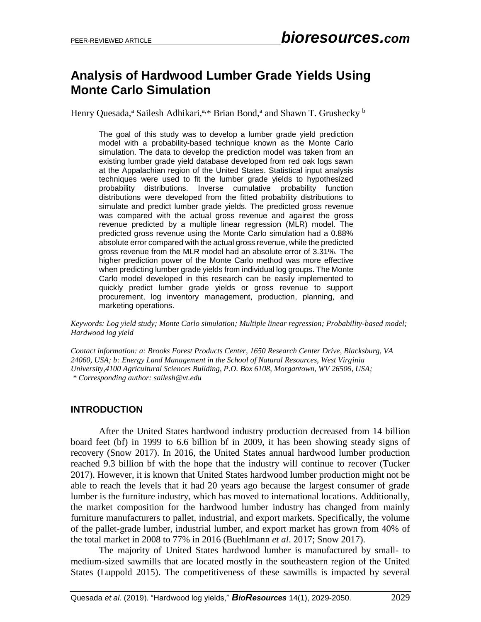# **Analysis of Hardwood Lumber Grade Yields Using Monte Carlo Simulation**

Henry Quesada,<sup>a</sup> Sailesh Adhikari,<sup>a,\*</sup> Brian Bond,<sup>a</sup> and Shawn T. Grushecky <sup>b</sup>

The goal of this study was to develop a lumber grade yield prediction model with a probability-based technique known as the Monte Carlo simulation. The data to develop the prediction model was taken from an existing lumber grade yield database developed from red oak logs sawn at the Appalachian region of the United States. Statistical input analysis techniques were used to fit the lumber grade yields to hypothesized probability distributions. Inverse cumulative probability function distributions were developed from the fitted probability distributions to simulate and predict lumber grade yields. The predicted gross revenue was compared with the actual gross revenue and against the gross revenue predicted by a multiple linear regression (MLR) model. The predicted gross revenue using the Monte Carlo simulation had a 0.88% absolute error compared with the actual gross revenue, while the predicted gross revenue from the MLR model had an absolute error of 3.31%. The higher prediction power of the Monte Carlo method was more effective when predicting lumber grade yields from individual log groups. The Monte Carlo model developed in this research can be easily implemented to quickly predict lumber grade yields or gross revenue to support procurement, log inventory management, production, planning, and marketing operations.

*Keywords: Log yield study; Monte Carlo simulation; Multiple linear regression; Probability-based model; Hardwood log yield*

*Contact information: a: Brooks Forest Products Center, 1650 Research Center Drive, Blacksburg, VA 24060, USA; b: Energy Land Management in the School of Natural Resources, West Virginia University,4100 Agricultural Sciences Building, P.O. Box 6108, Morgantown, WV 26506, USA; \* Corresponding author: sailesh@vt.edu*

### **INTRODUCTION**

After the United States hardwood industry production decreased from 14 billion board feet (bf) in 1999 to 6.6 billion bf in 2009, it has been showing steady signs of recovery (Snow 2017). In 2016, the United States annual hardwood lumber production reached 9.3 billion bf with the hope that the industry will continue to recover (Tucker 2017). However, it is known that United States hardwood lumber production might not be able to reach the levels that it had 20 years ago because the largest consumer of grade lumber is the furniture industry, which has moved to international locations. Additionally, the market composition for the hardwood lumber industry has changed from mainly furniture manufacturers to pallet, industrial, and export markets. Specifically, the volume of the pallet-grade lumber, industrial lumber, and export market has grown from 40% of the total market in 2008 to 77% in 2016 (Buehlmann *et al*. 2017; Snow 2017).

The majority of United States hardwood lumber is manufactured by small- to medium-sized sawmills that are located mostly in the southeastern region of the United States (Luppold 2015). The competitiveness of these sawmills is impacted by several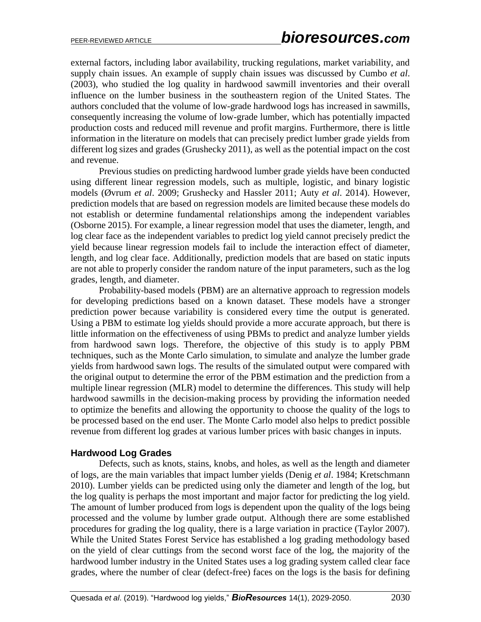external factors, including labor availability, trucking regulations, market variability, and supply chain issues. An example of supply chain issues was discussed by Cumbo *et al*. (2003), who studied the log quality in hardwood sawmill inventories and their overall influence on the lumber business in the southeastern region of the United States. The authors concluded that the volume of low-grade hardwood logs has increased in sawmills, consequently increasing the volume of low-grade lumber, which has potentially impacted production costs and reduced mill revenue and profit margins. Furthermore, there is little information in the literature on models that can precisely predict lumber grade yields from different log sizes and grades (Grushecky 2011), as well as the potential impact on the cost and revenue.

Previous studies on predicting hardwood lumber grade yields have been conducted using different linear regression models, such as multiple, logistic, and binary logistic models (Øvrum *et al*. 2009; Grushecky and Hassler 2011; Auty *et al*. 2014). However, prediction models that are based on regression models are limited because these models do not establish or determine fundamental relationships among the independent variables (Osborne 2015). For example, a linear regression model that uses the diameter, length, and log clear face as the independent variables to predict log yield cannot precisely predict the yield because linear regression models fail to include the interaction effect of diameter, length, and log clear face. Additionally, prediction models that are based on static inputs are not able to properly consider the random nature of the input parameters, such as the log grades, length, and diameter.

Probability-based models (PBM) are an alternative approach to regression models for developing predictions based on a known dataset. These models have a stronger prediction power because variability is considered every time the output is generated. Using a PBM to estimate log yields should provide a more accurate approach, but there is little information on the effectiveness of using PBMs to predict and analyze lumber yields from hardwood sawn logs. Therefore, the objective of this study is to apply PBM techniques, such as the Monte Carlo simulation, to simulate and analyze the lumber grade yields from hardwood sawn logs. The results of the simulated output were compared with the original output to determine the error of the PBM estimation and the prediction from a multiple linear regression (MLR) model to determine the differences. This study will help hardwood sawmills in the decision-making process by providing the information needed to optimize the benefits and allowing the opportunity to choose the quality of the logs to be processed based on the end user. The Monte Carlo model also helps to predict possible revenue from different log grades at various lumber prices with basic changes in inputs.

#### **Hardwood Log Grades**

Defects, such as knots, stains, knobs, and holes, as well as the length and diameter of logs, are the main variables that impact lumber yields (Denig *et al*. 1984; Kretschmann 2010). Lumber yields can be predicted using only the diameter and length of the log, but the log quality is perhaps the most important and major factor for predicting the log yield. The amount of lumber produced from logs is dependent upon the quality of the logs being processed and the volume by lumber grade output. Although there are some established procedures for grading the log quality, there is a large variation in practice (Taylor 2007). While the United States Forest Service has established a log grading methodology based on the yield of clear cuttings from the second worst face of the log, the majority of the hardwood lumber industry in the United States uses a log grading system called clear face grades, where the number of clear (defect-free) faces on the logs is the basis for defining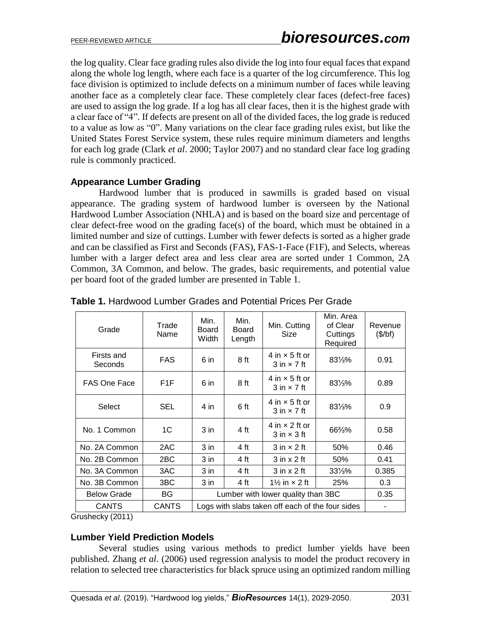the log quality. Clear face grading rules also divide the log into four equal faces that expand along the whole log length, where each face is a quarter of the log circumference. This log face division is optimized to include defects on a minimum number of faces while leaving another face as a completely clear face. These completely clear faces (defect-free faces) are used to assign the log grade. If a log has all clear faces, then it is the highest grade with a clear face of "4". If defects are present on all of the divided faces, the log grade is reduced to a value as low as "0". Many variations on the clear face grading rules exist, but like the United States Forest Service system, these rules require minimum diameters and lengths for each log grade (Clark *et al*. 2000; Taylor 2007) and no standard clear face log grading rule is commonly practiced.

### **Appearance Lumber Grading**

Hardwood lumber that is produced in sawmills is graded based on visual appearance. The grading system of hardwood lumber is overseen by the National Hardwood Lumber Association (NHLA) and is based on the board size and percentage of clear defect-free wood on the grading face(s) of the board, which must be obtained in a limited number and size of cuttings. Lumber with fewer defects is sorted as a higher grade and can be classified as First and Seconds (FAS), FAS-1-Face (F1F), and Selects, whereas lumber with a larger defect area and less clear area are sorted under 1 Common, 2A Common, 3A Common, and below. The grades, basic requirements, and potential value per board foot of the graded lumber are presented in Table 1.

| Grade                                                        | Trade<br>Name                    | Min.<br>Board<br>Width | Min.<br>Board<br>Length            | Min. Cutting<br>Size                                         | Min. Area<br>of Clear<br>Cuttings<br>Required | Revenue<br>(\$/bf) |  |  |  |
|--------------------------------------------------------------|----------------------------------|------------------------|------------------------------------|--------------------------------------------------------------|-----------------------------------------------|--------------------|--|--|--|
| Firsts and<br>Seconds                                        | <b>FAS</b>                       | 6 in                   | 8 ft                               | 4 in $\times$ 5 ft or<br>$3 \text{ in } \times 7 \text{ ft}$ | 831/3%                                        | 0.91               |  |  |  |
| <b>FAS One Face</b>                                          | 8 ft<br>F <sub>1</sub> F<br>6 in |                        |                                    | 4 in $\times$ 5 ft or<br>$3$ in $\times$ 7 ft                | 831/3%                                        | 0.89               |  |  |  |
| Select                                                       | <b>SEL</b>                       | 4 in                   | 6 ft                               | 4 in $\times$ 5 ft or<br>$3$ in $\times$ 7 ft                | 831/3%                                        | 0.9                |  |  |  |
| No. 1 Common                                                 | 1C                               | $3$ in                 | 4 ft                               | 4 in $\times$ 2 ft or<br>$3 \text{ in } \times 3 \text{ ft}$ | 66%%                                          | 0.58               |  |  |  |
| No. 2A Common                                                | 2AC                              | 3 in                   | 4 ft                               | $3$ in $\times$ 2 ft                                         | 50%                                           | 0.46               |  |  |  |
| No. 2B Common                                                | 2BC                              | 3 in                   | 4 ft                               | $3$ in $x$ 2 ft                                              | 50%                                           | 0.41               |  |  |  |
| No. 3A Common                                                | 3AC                              | 3 in                   | 4 ft                               | $3$ in $x$ 2 ft                                              | 331/ <sub>3</sub> %                           | 0.385              |  |  |  |
| No. 3B Common                                                | 3BC                              | 3 in                   | 4 ft                               | 1 $\frac{1}{2}$ in $\times$ 2 ft                             | 25%                                           | 0.3                |  |  |  |
| <b>Below Grade</b>                                           | BG                               |                        | Lumber with lower quality than 3BC |                                                              |                                               |                    |  |  |  |
| <b>CANTS</b><br><b>Contract Contract Contract</b><br>1/0.011 | <b>CANTS</b>                     |                        |                                    | Logs with slabs taken off each of the four sides             |                                               |                    |  |  |  |

Grushecky (2011)

### **Lumber Yield Prediction Models**

Several studies using various methods to predict lumber yields have been published. Zhang *et al*. (2006) used regression analysis to model the product recovery in relation to selected tree characteristics for black spruce using an optimized random milling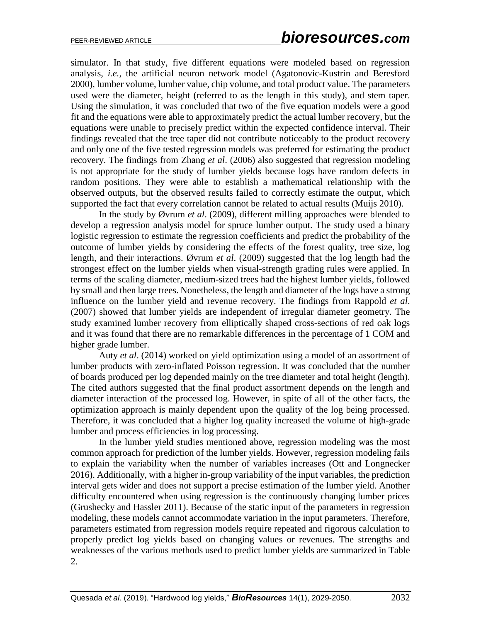simulator. In that study, five different equations were modeled based on regression analysis, *i.e.*, the artificial neuron network model (Agatonovic-Kustrin and Beresford 2000), lumber volume, lumber value, chip volume, and total product value. The parameters used were the diameter, height (referred to as the length in this study), and stem taper. Using the simulation, it was concluded that two of the five equation models were a good fit and the equations were able to approximately predict the actual lumber recovery, but the equations were unable to precisely predict within the expected confidence interval. Their findings revealed that the tree taper did not contribute noticeably to the product recovery and only one of the five tested regression models was preferred for estimating the product recovery. The findings from Zhang *et al*. (2006) also suggested that regression modeling is not appropriate for the study of lumber yields because logs have random defects in random positions. They were able to establish a mathematical relationship with the observed outputs, but the observed results failed to correctly estimate the output, which supported the fact that every correlation cannot be related to actual results (Muijs 2010).

In the study by Øvrum *et al*. (2009), different milling approaches were blended to develop a regression analysis model for spruce lumber output. The study used a binary logistic regression to estimate the regression coefficients and predict the probability of the outcome of lumber yields by considering the effects of the forest quality, tree size, log length, and their interactions. Øvrum *et al*. (2009) suggested that the log length had the strongest effect on the lumber yields when visual-strength grading rules were applied. In terms of the scaling diameter, medium-sized trees had the highest lumber yields, followed by small and then large trees. Nonetheless, the length and diameter of the logs have a strong influence on the lumber yield and revenue recovery. The findings from Rappold *et al*. (2007) showed that lumber yields are independent of irregular diameter geometry. The study examined lumber recovery from elliptically shaped cross-sections of red oak logs and it was found that there are no remarkable differences in the percentage of 1 COM and higher grade lumber.

Auty *et al*. (2014) worked on yield optimization using a model of an assortment of lumber products with zero-inflated Poisson regression. It was concluded that the number of boards produced per log depended mainly on the tree diameter and total height (length). The cited authors suggested that the final product assortment depends on the length and diameter interaction of the processed log. However, in spite of all of the other facts, the optimization approach is mainly dependent upon the quality of the log being processed. Therefore, it was concluded that a higher log quality increased the volume of high-grade lumber and process efficiencies in log processing.

In the lumber yield studies mentioned above, regression modeling was the most common approach for prediction of the lumber yields. However, regression modeling fails to explain the variability when the number of variables increases (Ott and Longnecker 2016). Additionally, with a higher in-group variability of the input variables, the prediction interval gets wider and does not support a precise estimation of the lumber yield. Another difficulty encountered when using regression is the continuously changing lumber prices (Grushecky and Hassler 2011). Because of the static input of the parameters in regression modeling, these models cannot accommodate variation in the input parameters. Therefore, parameters estimated from regression models require repeated and rigorous calculation to properly predict log yields based on changing values or revenues. The strengths and weaknesses of the various methods used to predict lumber yields are summarized in Table 2.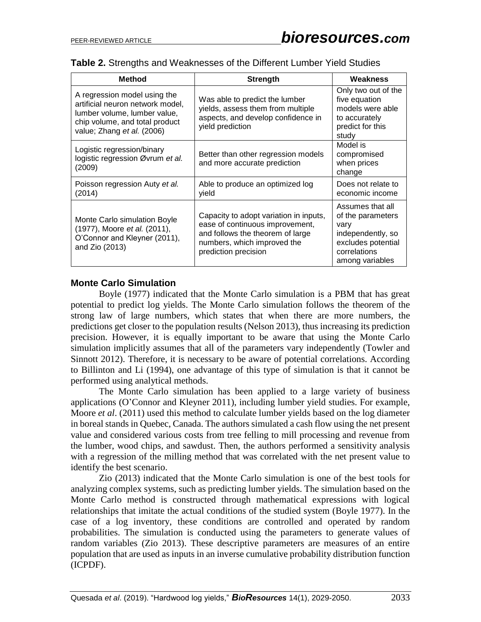| Table 2. Strengths and Weaknesses of the Different Lumber Yield Studies |  |  |
|-------------------------------------------------------------------------|--|--|
|-------------------------------------------------------------------------|--|--|

| <b>Method</b>                                                                                                                                                    | <b>Strength</b>                                                                                                                                                      | Weakness                                                                                                                    |
|------------------------------------------------------------------------------------------------------------------------------------------------------------------|----------------------------------------------------------------------------------------------------------------------------------------------------------------------|-----------------------------------------------------------------------------------------------------------------------------|
| A regression model using the<br>artificial neuron network model,<br>lumber volume, lumber value,<br>chip volume, and total product<br>value; Zhang et al. (2006) | Was able to predict the lumber<br>yields, assess them from multiple<br>aspects, and develop confidence in<br>yield prediction                                        | Only two out of the<br>five equation<br>models were able<br>to accurately<br>predict for this<br>study                      |
| Logistic regression/binary<br>logistic regression Øvrum et al.<br>(2009)                                                                                         | Better than other regression models<br>and more accurate prediction                                                                                                  | Model is<br>compromised<br>when prices<br>change                                                                            |
| Poisson regression Auty et al.<br>(2014)                                                                                                                         | Able to produce an optimized log<br>yield                                                                                                                            | Does not relate to<br>economic income                                                                                       |
| Monte Carlo simulation Boyle<br>(1977), Moore et al. (2011),<br>O'Connor and Kleyner (2011),<br>and Zio (2013)                                                   | Capacity to adopt variation in inputs,<br>ease of continuous improvement,<br>and follows the theorem of large<br>numbers, which improved the<br>prediction precision | Assumes that all<br>of the parameters<br>vary<br>independently, so<br>excludes potential<br>correlations<br>among variables |

#### **Monte Carlo Simulation**

Boyle (1977) indicated that the Monte Carlo simulation is a PBM that has great potential to predict log yields. The Monte Carlo simulation follows the theorem of the strong law of large numbers, which states that when there are more numbers, the predictions get closer to the population results (Nelson 2013), thus increasing its prediction precision. However, it is equally important to be aware that using the Monte Carlo simulation implicitly assumes that all of the parameters vary independently (Towler and Sinnott 2012). Therefore, it is necessary to be aware of potential correlations. According to Billinton and Li (1994), one advantage of this type of simulation is that it cannot be performed using analytical methods.

The Monte Carlo simulation has been applied to a large variety of business applications (O'Connor and Kleyner 2011), including lumber yield studies. For example, Moore *et al*. (2011) used this method to calculate lumber yields based on the log diameter in boreal stands in Quebec, Canada. The authors simulated a cash flow using the net present value and considered various costs from tree felling to mill processing and revenue from the lumber, wood chips, and sawdust. Then, the authors performed a sensitivity analysis with a regression of the milling method that was correlated with the net present value to identify the best scenario.

Zio (2013) indicated that the Monte Carlo simulation is one of the best tools for analyzing complex systems, such as predicting lumber yields. The simulation based on the Monte Carlo method is constructed through mathematical expressions with logical relationships that imitate the actual conditions of the studied system (Boyle 1977). In the case of a log inventory, these conditions are controlled and operated by random probabilities. The simulation is conducted using the parameters to generate values of random variables (Zio 2013). These descriptive parameters are measures of an entire population that are used as inputs in an inverse cumulative probability distribution function (ICPDF).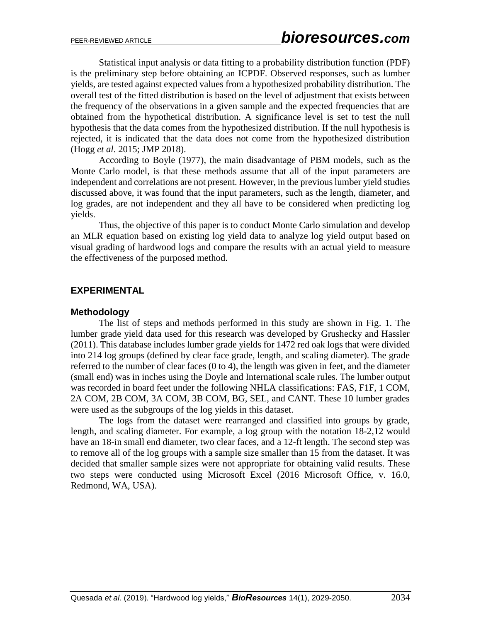Statistical input analysis or data fitting to a probability distribution function (PDF) is the preliminary step before obtaining an ICPDF. Observed responses, such as lumber yields, are tested against expected values from a hypothesized probability distribution. The overall test of the fitted distribution is based on the level of adjustment that exists between the frequency of the observations in a given sample and the expected frequencies that are obtained from the hypothetical distribution. A significance level is set to test the null hypothesis that the data comes from the hypothesized distribution. If the null hypothesis is rejected, it is indicated that the data does not come from the hypothesized distribution (Hogg *et al*. 2015; JMP 2018).

According to Boyle (1977), the main disadvantage of PBM models, such as the Monte Carlo model, is that these methods assume that all of the input parameters are independent and correlations are not present. However, in the previous lumber yield studies discussed above, it was found that the input parameters, such as the length, diameter, and log grades, are not independent and they all have to be considered when predicting log yields.

Thus, the objective of this paper is to conduct Monte Carlo simulation and develop an MLR equation based on existing log yield data to analyze log yield output based on visual grading of hardwood logs and compare the results with an actual yield to measure the effectiveness of the purposed method.

### **EXPERIMENTAL**

#### **Methodology**

The list of steps and methods performed in this study are shown in Fig. 1. The lumber grade yield data used for this research was developed by Grushecky and Hassler (2011). This database includes lumber grade yields for 1472 red oak logs that were divided into 214 log groups (defined by clear face grade, length, and scaling diameter). The grade referred to the number of clear faces (0 to 4), the length was given in feet, and the diameter (small end) was in inches using the Doyle and International scale rules. The lumber output was recorded in board feet under the following NHLA classifications: FAS, F1F, 1 COM, 2A COM, 2B COM, 3A COM, 3B COM, BG, SEL, and CANT. These 10 lumber grades were used as the subgroups of the log yields in this dataset.

The logs from the dataset were rearranged and classified into groups by grade, length, and scaling diameter. For example, a log group with the notation 18-2,12 would have an 18-in small end diameter, two clear faces, and a 12-ft length. The second step was to remove all of the log groups with a sample size smaller than 15 from the dataset. It was decided that smaller sample sizes were not appropriate for obtaining valid results. These two steps were conducted using Microsoft Excel (2016 Microsoft Office, v. 16.0, Redmond, WA, USA).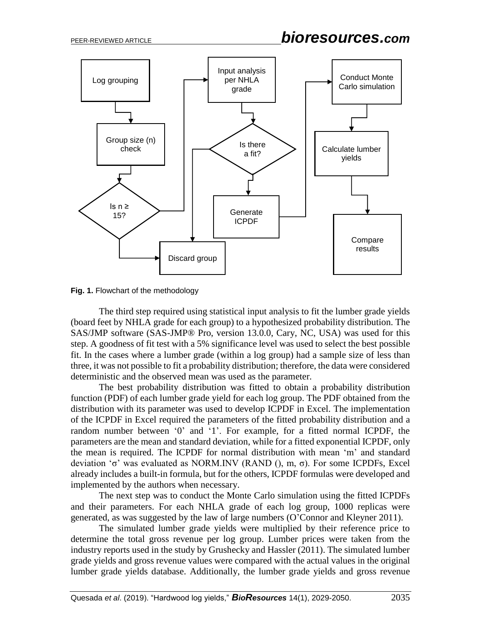

**Fig. 1.** Flowchart of the methodology

The third step required using statistical input analysis to fit the lumber grade yields (board feet by NHLA grade for each group) to a hypothesized probability distribution. The SAS/JMP software (SAS-JMP® Pro, version 13.0.0, Cary, NC, USA) was used for this step. A goodness of fit test with a 5% significance level was used to select the best possible fit. In the cases where a lumber grade (within a log group) had a sample size of less than three, it was not possible to fit a probability distribution; therefore, the data were considered deterministic and the observed mean was used as the parameter.

The best probability distribution was fitted to obtain a probability distribution function (PDF) of each lumber grade yield for each log group. The PDF obtained from the distribution with its parameter was used to develop ICPDF in Excel. The implementation of the ICPDF in Excel required the parameters of the fitted probability distribution and a random number between '0' and '1'. For example, for a fitted normal ICPDF, the parameters are the mean and standard deviation, while for a fitted exponential ICPDF, only the mean is required. The ICPDF for normal distribution with mean 'm' and standard deviation 'σ' was evaluated as NORM.INV (RAND (), m, σ). For some ICPDFs, Excel already includes a built-in formula, but for the others, ICPDF formulas were developed and implemented by the authors when necessary.

The next step was to conduct the Monte Carlo simulation using the fitted ICPDFs and their parameters. For each NHLA grade of each log group, 1000 replicas were generated, as was suggested by the law of large numbers (O'Connor and Kleyner 2011).

The simulated lumber grade yields were multiplied by their reference price to determine the total gross revenue per log group. Lumber prices were taken from the industry reports used in the study by Grushecky and Hassler (2011). The simulated lumber grade yields and gross revenue values were compared with the actual values in the original lumber grade yields database. Additionally, the lumber grade yields and gross revenue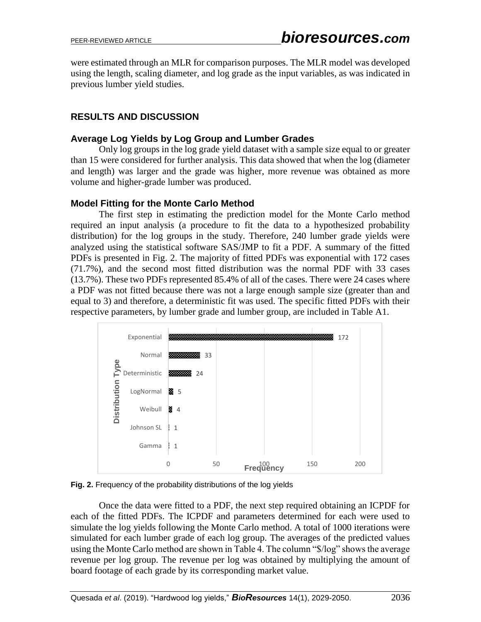were estimated through an MLR for comparison purposes. The MLR model was developed using the length, scaling diameter, and log grade as the input variables, as was indicated in previous lumber yield studies.

# **RESULTS AND DISCUSSION**

#### **Average Log Yields by Log Group and Lumber Grades**

Only log groups in the log grade yield dataset with a sample size equal to or greater than 15 were considered for further analysis. This data showed that when the log (diameter and length) was larger and the grade was higher, more revenue was obtained as more volume and higher-grade lumber was produced.

#### **Model Fitting for the Monte Carlo Method**

The first step in estimating the prediction model for the Monte Carlo method required an input analysis (a procedure to fit the data to a hypothesized probability distribution) for the log groups in the study. Therefore, 240 lumber grade yields were analyzed using the statistical software SAS/JMP to fit a PDF. A summary of the fitted PDFs is presented in Fig. 2. The majority of fitted PDFs was exponential with 172 cases (71.7%), and the second most fitted distribution was the normal PDF with 33 cases (13.7%). These two PDFs represented 85.4% of all of the cases. There were 24 cases where a PDF was not fitted because there was not a large enough sample size (greater than and equal to 3) and therefore, a deterministic fit was used. The specific fitted PDFs with their respective parameters, by lumber grade and lumber group, are included in Table A1.

|                     | Exponential              |              |           |     | 172 |
|---------------------|--------------------------|--------------|-----------|-----|-----|
|                     | Normal                   | 33           |           |     |     |
| Type                | Deterministic            | 医学<br>24     |           |     |     |
| <b>Distribution</b> | LogNormal 图 5            |              |           |     |     |
|                     | Weibull $\overline{6}$ 4 |              |           |     |     |
|                     | Johnson SL               | l 1          |           |     |     |
|                     | Gamma                    | $\mathbf{1}$ |           |     |     |
|                     |                          | 50<br>0      | Frequency | 150 | 200 |

**Fig. 2.** Frequency of the probability distributions of the log yields

Once the data were fitted to a PDF, the next step required obtaining an ICPDF for each of the fitted PDFs. The ICPDF and parameters determined for each were used to simulate the log yields following the Monte Carlo method. A total of 1000 iterations were simulated for each lumber grade of each log group. The averages of the predicted values using the Monte Carlo method are shown in Table 4. The column "\$/log" shows the average revenue per log group. The revenue per log was obtained by multiplying the amount of board footage of each grade by its corresponding market value.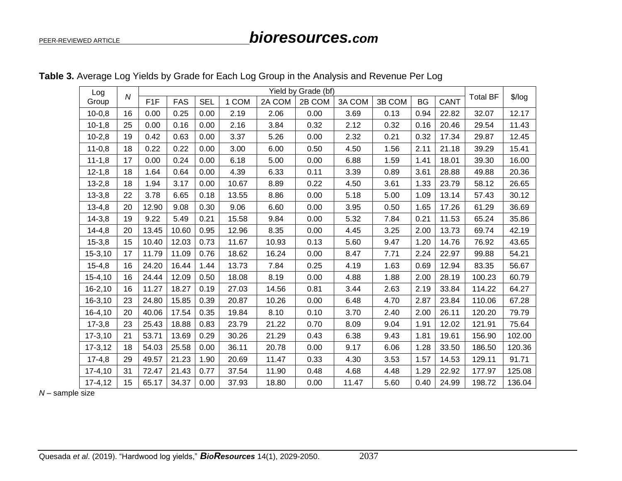| Log          | N  |                  | Yield by Grade (bf) |            |       |        |        |        |        |           |       |                 |          |
|--------------|----|------------------|---------------------|------------|-------|--------|--------|--------|--------|-----------|-------|-----------------|----------|
| Group        |    | F <sub>1</sub> F | <b>FAS</b>          | <b>SEL</b> | 1 COM | 2A COM | 2B COM | 3A COM | 3B COM | <b>BG</b> | CANT  | <b>Total BF</b> | $$$ /log |
| $10-0,8$     | 16 | 0.00             | 0.25                | 0.00       | 2.19  | 2.06   | 0.00   | 3.69   | 0.13   | 0.94      | 22.82 | 32.07           | 12.17    |
| $10-1,8$     | 25 | 0.00             | 0.16                | 0.00       | 2.16  | 3.84   | 0.32   | 2.12   | 0.32   | 0.16      | 20.46 | 29.54           | 11.43    |
| $10-2,8$     | 19 | 0.42             | 0.63                | 0.00       | 3.37  | 5.26   | 0.00   | 2.32   | 0.21   | 0.32      | 17.34 | 29.87           | 12.45    |
| $11-0,8$     | 18 | 0.22             | 0.22                | 0.00       | 3.00  | 6.00   | 0.50   | 4.50   | 1.56   | 2.11      | 21.18 | 39.29           | 15.41    |
| $11-1,8$     | 17 | 0.00             | 0.24                | 0.00       | 6.18  | 5.00   | 0.00   | 6.88   | 1.59   | 1.41      | 18.01 | 39.30           | 16.00    |
| $12 - 1,8$   | 18 | 1.64             | 0.64                | 0.00       | 4.39  | 6.33   | 0.11   | 3.39   | 0.89   | 3.61      | 28.88 | 49.88           | 20.36    |
| $13 - 2,8$   | 18 | 1.94             | 3.17                | 0.00       | 10.67 | 8.89   | 0.22   | 4.50   | 3.61   | 1.33      | 23.79 | 58.12           | 26.65    |
| $13 - 3,8$   | 22 | 3.78             | 6.65                | 0.18       | 13.55 | 8.86   | 0.00   | 5.18   | 5.00   | 1.09      | 13.14 | 57.43           | 30.12    |
| $13 - 4,8$   | 20 | 12.90            | 9.08                | 0.30       | 9.06  | 6.60   | 0.00   | 3.95   | 0.50   | 1.65      | 17.26 | 61.29           | 36.69    |
| $14 - 3,8$   | 19 | 9.22             | 5.49                | 0.21       | 15.58 | 9.84   | 0.00   | 5.32   | 7.84   | 0.21      | 11.53 | 65.24           | 35.86    |
| $14 - 4, 8$  | 20 | 13.45            | 10.60               | 0.95       | 12.96 | 8.35   | 0.00   | 4.45   | 3.25   | 2.00      | 13.73 | 69.74           | 42.19    |
| $15 - 3,8$   | 15 | 10.40            | 12.03               | 0.73       | 11.67 | 10.93  | 0.13   | 5.60   | 9.47   | 1.20      | 14.76 | 76.92           | 43.65    |
| $15 - 3, 10$ | 17 | 11.79            | 11.09               | 0.76       | 18.62 | 16.24  | 0.00   | 8.47   | 7.71   | 2.24      | 22.97 | 99.88           | 54.21    |
| $15 - 4,8$   | 16 | 24.20            | 16.44               | 1.44       | 13.73 | 7.84   | 0.25   | 4.19   | 1.63   | 0.69      | 12.94 | 83.35           | 56.67    |
| $15 - 4, 10$ | 16 | 24.44            | 12.09               | 0.50       | 18.08 | 8.19   | 0.00   | 4.88   | 1.88   | 2.00      | 28.19 | 100.23          | 60.79    |
| $16 - 2, 10$ | 16 | 11.27            | 18.27               | 0.19       | 27.03 | 14.56  | 0.81   | 3.44   | 2.63   | 2.19      | 33.84 | 114.22          | 64.27    |
| $16 - 3, 10$ | 23 | 24.80            | 15.85               | 0.39       | 20.87 | 10.26  | 0.00   | 6.48   | 4.70   | 2.87      | 23.84 | 110.06          | 67.28    |
| 16-4,10      | 20 | 40.06            | 17.54               | 0.35       | 19.84 | 8.10   | 0.10   | 3.70   | 2.40   | 2.00      | 26.11 | 120.20          | 79.79    |
| $17-3,8$     | 23 | 25.43            | 18.88               | 0.83       | 23.79 | 21.22  | 0.70   | 8.09   | 9.04   | 1.91      | 12.02 | 121.91          | 75.64    |
| $17 - 3,10$  | 21 | 53.71            | 13.69               | 0.29       | 30.26 | 21.29  | 0.43   | 6.38   | 9.43   | 1.81      | 19.61 | 156.90          | 102.00   |
| $17-3,12$    | 18 | 54.03            | 25.58               | 0.00       | 36.11 | 20.78  | 0.00   | 9.17   | 6.06   | 1.28      | 33.50 | 186.50          | 120.36   |
| $17-4,8$     | 29 | 49.57            | 21.23               | 1.90       | 20.69 | 11.47  | 0.33   | 4.30   | 3.53   | 1.57      | 14.53 | 129.11          | 91.71    |
| $17-4,10$    | 31 | 72.47            | 21.43               | 0.77       | 37.54 | 11.90  | 0.48   | 4.68   | 4.48   | 1.29      | 22.92 | 177.97          | 125.08   |
| $17 - 4, 12$ | 15 | 65.17            | 34.37               | 0.00       | 37.93 | 18.80  | 0.00   | 11.47  | 5.60   | 0.40      | 24.99 | 198.72          | 136.04   |

## **Table 3.** Average Log Yields by Grade for Each Log Group in the Analysis and Revenue Per Log

*N* – sample size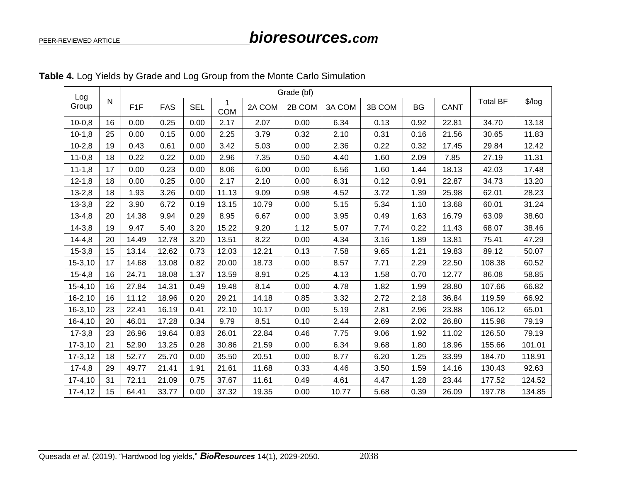| Log          |              |                  |            |            |            |        | Grade (bf) |        |        |      |       |                 |          |
|--------------|--------------|------------------|------------|------------|------------|--------|------------|--------|--------|------|-------|-----------------|----------|
| Group        | $\mathsf{N}$ | F <sub>1</sub> F | <b>FAS</b> | <b>SEL</b> | <b>COM</b> | 2A COM | 2B COM     | 3A COM | 3B COM | BG   | CANT  | <b>Total BF</b> | $$$ /log |
| $10-0,8$     | 16           | 0.00             | 0.25       | 0.00       | 2.17       | 2.07   | 0.00       | 6.34   | 0.13   | 0.92 | 22.81 | 34.70           | 13.18    |
| $10-1,8$     | 25           | 0.00             | 0.15       | 0.00       | 2.25       | 3.79   | 0.32       | 2.10   | 0.31   | 0.16 | 21.56 | 30.65           | 11.83    |
| $10 - 2,8$   | 19           | 0.43             | 0.61       | 0.00       | 3.42       | 5.03   | 0.00       | 2.36   | 0.22   | 0.32 | 17.45 | 29.84           | 12.42    |
| $11-0,8$     | 18           | 0.22             | 0.22       | 0.00       | 2.96       | 7.35   | 0.50       | 4.40   | 1.60   | 2.09 | 7.85  | 27.19           | 11.31    |
| $11-1,8$     | 17           | 0.00             | 0.23       | 0.00       | 8.06       | 6.00   | 0.00       | 6.56   | 1.60   | 1.44 | 18.13 | 42.03           | 17.48    |
| $12 - 1,8$   | 18           | 0.00             | 0.25       | 0.00       | 2.17       | 2.10   | 0.00       | 6.31   | 0.12   | 0.91 | 22.87 | 34.73           | 13.20    |
| $13 - 2,8$   | 18           | 1.93             | 3.26       | 0.00       | 11.13      | 9.09   | 0.98       | 4.52   | 3.72   | 1.39 | 25.98 | 62.01           | 28.23    |
| $13 - 3,8$   | 22           | 3.90             | 6.72       | 0.19       | 13.15      | 10.79  | 0.00       | 5.15   | 5.34   | 1.10 | 13.68 | 60.01           | 31.24    |
| $13 - 4,8$   | 20           | 14.38            | 9.94       | 0.29       | 8.95       | 6.67   | 0.00       | 3.95   | 0.49   | 1.63 | 16.79 | 63.09           | 38.60    |
| $14 - 3,8$   | 19           | 9.47             | 5.40       | 3.20       | 15.22      | 9.20   | 1.12       | 5.07   | 7.74   | 0.22 | 11.43 | 68.07           | 38.46    |
| $14 - 4, 8$  | 20           | 14.49            | 12.78      | 3.20       | 13.51      | 8.22   | 0.00       | 4.34   | 3.16   | 1.89 | 13.81 | 75.41           | 47.29    |
| $15 - 3,8$   | 15           | 13.14            | 12.62      | 0.73       | 12.03      | 12.21  | 0.13       | 7.58   | 9.65   | 1.21 | 19.83 | 89.12           | 50.07    |
| $15 - 3, 10$ | 17           | 14.68            | 13.08      | 0.82       | 20.00      | 18.73  | 0.00       | 8.57   | 7.71   | 2.29 | 22.50 | 108.38          | 60.52    |
| $15 - 4,8$   | 16           | 24.71            | 18.08      | 1.37       | 13.59      | 8.91   | 0.25       | 4.13   | 1.58   | 0.70 | 12.77 | 86.08           | 58.85    |
| $15 - 4, 10$ | 16           | 27.84            | 14.31      | 0.49       | 19.48      | 8.14   | 0.00       | 4.78   | 1.82   | 1.99 | 28.80 | 107.66          | 66.82    |
| $16 - 2, 10$ | 16           | 11.12            | 18.96      | 0.20       | 29.21      | 14.18  | 0.85       | 3.32   | 2.72   | 2.18 | 36.84 | 119.59          | 66.92    |
| $16 - 3, 10$ | 23           | 22.41            | 16.19      | 0.41       | 22.10      | 10.17  | 0.00       | 5.19   | 2.81   | 2.96 | 23.88 | 106.12          | 65.01    |
| $16-4, 10$   | 20           | 46.01            | 17.28      | 0.34       | 9.79       | 8.51   | 0.10       | 2.44   | 2.69   | 2.02 | 26.80 | 115.98          | 79.19    |
| $17-3,8$     | 23           | 26.96            | 19.64      | 0.83       | 26.01      | 22.84  | 0.46       | 7.75   | 9.06   | 1.92 | 11.02 | 126.50          | 79.19    |
| $17 - 3,10$  | 21           | 52.90            | 13.25      | 0.28       | 30.86      | 21.59  | 0.00       | 6.34   | 9.68   | 1.80 | 18.96 | 155.66          | 101.01   |
| $17 - 3,12$  | 18           | 52.77            | 25.70      | 0.00       | 35.50      | 20.51  | 0.00       | 8.77   | 6.20   | 1.25 | 33.99 | 184.70          | 118.91   |
| $17-4,8$     | 29           | 49.77            | 21.41      | 1.91       | 21.61      | 11.68  | 0.33       | 4.46   | 3.50   | 1.59 | 14.16 | 130.43          | 92.63    |
| $17 - 4, 10$ | 31           | 72.11            | 21.09      | 0.75       | 37.67      | 11.61  | 0.49       | 4.61   | 4.47   | 1.28 | 23.44 | 177.52          | 124.52   |
| $17 - 4, 12$ | 15           | 64.41            | 33.77      | 0.00       | 37.32      | 19.35  | 0.00       | 10.77  | 5.68   | 0.39 | 26.09 | 197.78          | 134.85   |

## **Table 4.** Log Yields by Grade and Log Group from the Monte Carlo Simulation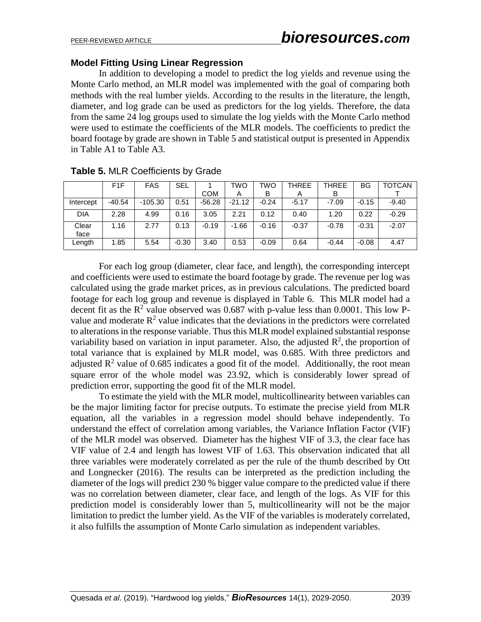#### **Model Fitting Using Linear Regression**

In addition to developing a model to predict the log yields and revenue using the Monte Carlo method, an MLR model was implemented with the goal of comparing both methods with the real lumber yields. According to the results in the literature, the length, diameter, and log grade can be used as predictors for the log yields. Therefore, the data from the same 24 log groups used to simulate the log yields with the Monte Carlo method were used to estimate the coefficients of the MLR models. The coefficients to predict the board footage by grade are shown in Table 5 and statistical output is presented in Appendix in Table A1 to Table A3.

|            | F <sub>1</sub> F | <b>FAS</b> | SEL     |          | TWO      | TWO     | THREE   | <b>THREE</b> | BG      | <b>TOTCAN</b> |
|------------|------------------|------------|---------|----------|----------|---------|---------|--------------|---------|---------------|
|            |                  |            |         |          |          |         |         |              |         |               |
|            |                  |            |         | COM      | A        | в       | А       | в            |         |               |
| Intercept  | $-40.54$         | $-105.30$  | 0.51    | $-56.28$ | $-21.12$ | $-0.24$ | $-5.17$ | $-7.09$      | $-0.15$ | $-9.40$       |
| <b>DIA</b> | 2.28             | 4.99       | 0.16    | 3.05     | 2.21     | 0.12    | 0.40    | 1.20         | 0.22    | $-0.29$       |
| Clear      | l.16             | 2.77       | 0.13    | $-0.19$  | $-1.66$  | $-0.16$ | $-0.37$ | $-0.78$      | $-0.31$ | $-2.07$       |
| face       |                  |            |         |          |          |         |         |              |         |               |
| Length     | 1.85             | 5.54       | $-0.30$ | 3.40     | 0.53     | $-0.09$ | 0.64    | $-0.44$      | $-0.08$ | 4.47          |

**Table 5.** MLR Coefficients by Grade

For each log group (diameter, clear face, and length), the corresponding intercept and coefficients were used to estimate the board footage by grade. The revenue per log was calculated using the grade market prices, as in previous calculations. The predicted board footage for each log group and revenue is displayed in Table 6. This MLR model had a decent fit as the  $R^2$  value observed was 0.687 with p-value less than 0.0001. This low Pvalue and moderate  $\mathbb{R}^2$  value indicates that the deviations in the predictors were correlated to alterations in the response variable. Thus this MLR model explained substantial response variability based on variation in input parameter. Also, the adjusted  $\mathbb{R}^2$ , the proportion of total variance that is explained by MLR model, was 0.685. With three predictors and adjusted  $\mathbb{R}^2$  value of 0.685 indicates a good fit of the model. Additionally, the root mean square error of the whole model was 23.92, which is considerably lower spread of prediction error, supporting the good fit of the MLR model.

To estimate the yield with the MLR model, multicollinearity between variables can be the major limiting factor for precise outputs. To estimate the precise yield from MLR equation, all the variables in a regression model should behave independently. To understand the effect of correlation among variables, the Variance Inflation Factor (VIF) of the MLR model was observed. Diameter has the highest VIF of 3.3, the clear face has VIF value of 2.4 and length has lowest VIF of 1.63. This observation indicated that all three variables were moderately correlated as per the rule of the thumb described by Ott and Longnecker (2016). The results can be interpreted as the prediction including the diameter of the logs will predict 230 % bigger value compare to the predicted value if there was no correlation between diameter, clear face, and length of the logs. As VIF for this prediction model is considerably lower than 5, multicollinearity will not be the major limitation to predict the lumber yield. As the VIF of the variables is moderately correlated, it also fulfills the assumption of Monte Carlo simulation as independent variables.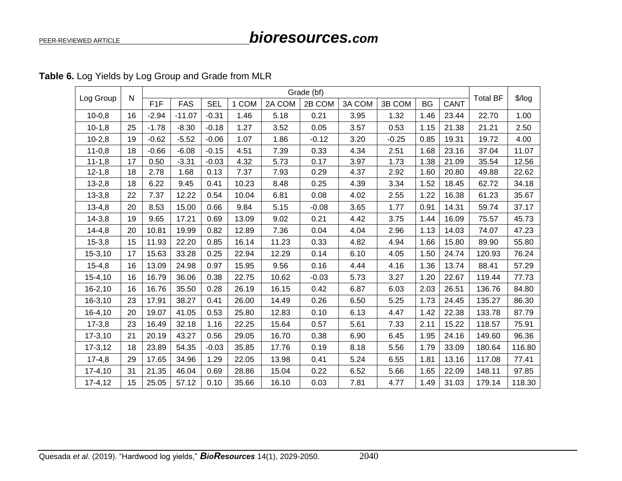|              | $\mathsf{N}$ | Grade (bf)       |            |            |       |        |         |        |         |           |       |                 |          |
|--------------|--------------|------------------|------------|------------|-------|--------|---------|--------|---------|-----------|-------|-----------------|----------|
| Log Group    |              | F <sub>1</sub> F | <b>FAS</b> | <b>SEL</b> | 1 COM | 2A COM | 2B COM  | 3A COM | 3B COM  | <b>BG</b> | CANT  | <b>Total BF</b> | $$$ /log |
| $10 - 0, 8$  | 16           | $-2.94$          | $-11.07$   | $-0.31$    | 1.46  | 5.18   | 0.21    | 3.95   | 1.32    | 1.46      | 23.44 | 22.70           | 1.00     |
| $10-1,8$     | 25           | $-1.78$          | $-8.30$    | $-0.18$    | 1.27  | 3.52   | 0.05    | 3.57   | 0.53    | 1.15      | 21.38 | 21.21           | 2.50     |
| $10-2,8$     | 19           | $-0.62$          | $-5.52$    | $-0.06$    | 1.07  | 1.86   | $-0.12$ | 3.20   | $-0.25$ | 0.85      | 19.31 | 19.72           | 4.00     |
| $11-0,8$     | 18           | $-0.66$          | $-6.08$    | $-0.15$    | 4.51  | 7.39   | 0.33    | 4.34   | 2.51    | 1.68      | 23.16 | 37.04           | 11.07    |
| $11-1,8$     | 17           | 0.50             | $-3.31$    | $-0.03$    | 4.32  | 5.73   | 0.17    | 3.97   | 1.73    | 1.38      | 21.09 | 35.54           | 12.56    |
| $12 - 1,8$   | 18           | 2.78             | 1.68       | 0.13       | 7.37  | 7.93   | 0.29    | 4.37   | 2.92    | 1.60      | 20.80 | 49.88           | 22.62    |
| $13 - 2,8$   | 18           | 6.22             | 9.45       | 0.41       | 10.23 | 8.48   | 0.25    | 4.39   | 3.34    | 1.52      | 18.45 | 62.72           | 34.18    |
| $13 - 3,8$   | 22           | 7.37             | 12.22      | 0.54       | 10.04 | 6.81   | 0.08    | 4.02   | 2.55    | 1.22      | 16.38 | 61.23           | 35.67    |
| $13 - 4,8$   | 20           | 8.53             | 15.00      | 0.66       | 9.84  | 5.15   | $-0.08$ | 3.65   | 1.77    | 0.91      | 14.31 | 59.74           | 37.17    |
| $14 - 3,8$   | 19           | 9.65             | 17.21      | 0.69       | 13.09 | 9.02   | 0.21    | 4.42   | 3.75    | 1.44      | 16.09 | 75.57           | 45.73    |
| $14 - 4, 8$  | 20           | 10.81            | 19.99      | 0.82       | 12.89 | 7.36   | 0.04    | 4.04   | 2.96    | 1.13      | 14.03 | 74.07           | 47.23    |
| $15 - 3,8$   | 15           | 11.93            | 22.20      | 0.85       | 16.14 | 11.23  | 0.33    | 4.82   | 4.94    | 1.66      | 15.80 | 89.90           | 55.80    |
| $15 - 3, 10$ | 17           | 15.63            | 33.28      | 0.25       | 22.94 | 12.29  | 0.14    | 6.10   | 4.05    | 1.50      | 24.74 | 120.93          | 76.24    |
| $15 - 4,8$   | 16           | 13.09            | 24.98      | 0.97       | 15.95 | 9.56   | 0.16    | 4.44   | 4.16    | 1.36      | 13.74 | 88.41           | 57.29    |
| $15 - 4, 10$ | 16           | 16.79            | 36.06      | 0.38       | 22.75 | 10.62  | $-0.03$ | 5.73   | 3.27    | 1.20      | 22.67 | 119.44          | 77.73    |
| $16 - 2, 10$ | 16           | 16.76            | 35.50      | 0.28       | 26.19 | 16.15  | 0.42    | 6.87   | 6.03    | 2.03      | 26.51 | 136.76          | 84.80    |
| $16 - 3, 10$ | 23           | 17.91            | 38.27      | 0.41       | 26.00 | 14.49  | 0.26    | 6.50   | 5.25    | 1.73      | 24.45 | 135.27          | 86.30    |
| 16-4,10      | 20           | 19.07            | 41.05      | 0.53       | 25.80 | 12.83  | 0.10    | 6.13   | 4.47    | 1.42      | 22.38 | 133.78          | 87.79    |
| $17-3,8$     | 23           | 16.49            | 32.18      | 1.16       | 22.25 | 15.64  | 0.57    | 5.61   | 7.33    | 2.11      | 15.22 | 118.57          | 75.91    |
| $17 - 3,10$  | 21           | 20.19            | 43.27      | 0.56       | 29.05 | 16.70  | 0.38    | 6.90   | 6.45    | 1.95      | 24.16 | 149.60          | 96.36    |
| $17 - 3,12$  | 18           | 23.89            | 54.35      | $-0.03$    | 35.85 | 17.76  | 0.19    | 8.18   | 5.56    | 1.79      | 33.09 | 180.64          | 116.80   |
| $17-4,8$     | 29           | 17.65            | 34.96      | 1.29       | 22.05 | 13.98  | 0.41    | 5.24   | 6.55    | 1.81      | 13.16 | 117.08          | 77.41    |
| $17 - 4, 10$ | 31           | 21.35            | 46.04      | 0.69       | 28.86 | 15.04  | 0.22    | 6.52   | 5.66    | 1.65      | 22.09 | 148.11          | 97.85    |
| $17-4.12$    | 15           | 25.05            | 57.12      | 0.10       | 35.66 | 16.10  | 0.03    | 7.81   | 4.77    | 1.49      | 31.03 | 179.14          | 118.30   |

# **Table 6.** Log Yields by Log Group and Grade from MLR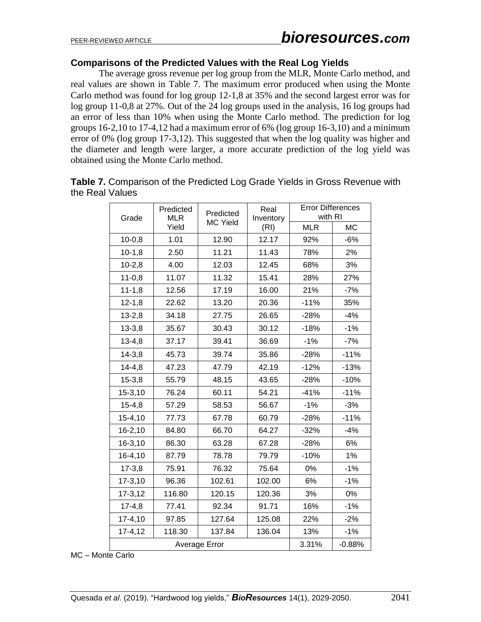#### **Comparisons of the Predicted Values with the Real Log Yields**

The average gross revenue per log group from the MLR, Monte Carlo method, and real values are shown in Table 7. The maximum error produced when using the Monte Carlo method was found for log group 12-1,8 at 35% and the second largest error was for log group 11-0,8 at 27%. Out of the 24 log groups used in the analysis, 16 log groups had an error of less than 10% when using the Monte Carlo method. The prediction for log groups 16-2,10 to 17-4,12 had a maximum error of 6% (log group 16-3,10) and a minimum error of 0% (log group 17-3,12). This suggested that when the log quality was higher and the diameter and length were larger, a more accurate prediction of the log yield was obtained using the Monte Carlo method.

| Table 7. Comparison of the Predicted Log Grade Yields in Gross Revenue with |  |  |
|-----------------------------------------------------------------------------|--|--|
| the Real Values                                                             |  |  |

| Grade        | Predicted<br><b>MLR</b> | Predicted       | Real<br>Inventory | <b>Error Differences</b><br>with RI |           |
|--------------|-------------------------|-----------------|-------------------|-------------------------------------|-----------|
|              | Yield                   | <b>MC Yield</b> | (RI)              | <b>MLR</b>                          | <b>MC</b> |
| $10-0,8$     | 1.01                    | 12.90           | 12.17             | 92%                                 | $-6%$     |
| $10-1,8$     | 2.50                    | 11.21           | 11.43             | 78%                                 | 2%        |
| $10-2,8$     | 4.00                    | 12.03           | 12.45             | 68%                                 | 3%        |
| $11-0,8$     | 11.07                   | 11.32           | 15.41             | 28%                                 | 27%       |
| $11-1,8$     | 12.56                   | 17.19           | 16.00             | 21%                                 | $-7%$     |
| $12 - 1,8$   | 22.62                   | 13.20           | 20.36             | $-11%$                              | 35%       |
| $13 - 2,8$   | 34.18                   | 27.75           | 26.65             | $-28%$                              | $-4%$     |
| $13 - 3,8$   | 35.67                   | 30.43           | 30.12             | $-18%$                              | $-1%$     |
| $13 - 4, 8$  | 37.17                   | 39.41           | 36.69             | $-1%$                               | $-7%$     |
| $14 - 3.8$   | 45.73                   | 39.74           | 35.86             | $-28%$                              | $-11%$    |
| $14 - 4, 8$  | 47.23                   | 47.79           | 42.19             | $-12%$                              | $-13%$    |
| $15 - 3,8$   | 55.79                   | 48.15           | 43.65             | $-28%$                              | $-10%$    |
| $15 - 3, 10$ | 76.24                   | 60.11           | 54.21             | $-41%$                              | $-11%$    |
| $15 - 4.8$   | 57.29                   | 58.53           | 56.67             | $-1%$                               | $-3%$     |
| $15 - 4, 10$ | 77.73                   | 67.78           | 60.79             | $-28%$                              | $-11%$    |
| $16 - 2, 10$ | 84.80                   | 66.70           | 64.27             | $-32%$                              | $-4%$     |
| $16 - 3, 10$ | 86.30                   | 63.28           | 67.28             | $-28%$                              | 6%        |
| 16-4,10      | 87.79                   | 78.78           | 79.79             | $-10%$                              | 1%        |
| $17-3,8$     | 75.91                   | 76.32           | 75.64             | 0%                                  | $-1%$     |
| $17 - 3,10$  | 96.36                   | 102.61          | 102.00            | 6%                                  | $-1%$     |
| $17 - 3, 12$ | 116.80                  | 120.15          | 120.36            | 3%                                  | 0%        |
| $17-4,8$     | 77.41                   | 92.34           | 91.71             | 16%                                 | $-1%$     |
| $17 - 4, 10$ | 97.85                   | 127.64          | 125.08            | 22%                                 | $-2%$     |
| $17 - 4, 12$ | 118.30                  | 137.84          | 136.04            | 13%                                 | $-1%$     |
|              | Average Error           | 3.31%           | $-0.88%$          |                                     |           |

MC – Monte Carlo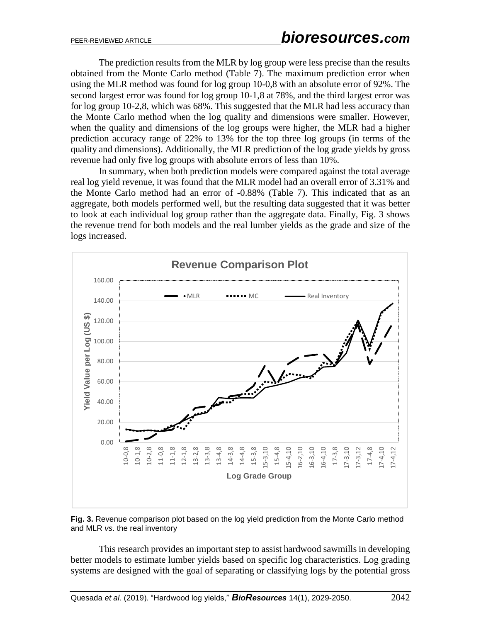The prediction results from the MLR by log group were less precise than the results obtained from the Monte Carlo method (Table 7). The maximum prediction error when using the MLR method was found for log group 10-0,8 with an absolute error of 92%. The second largest error was found for log group 10-1,8 at 78%, and the third largest error was for log group 10-2,8, which was 68%. This suggested that the MLR had less accuracy than the Monte Carlo method when the log quality and dimensions were smaller. However, when the quality and dimensions of the log groups were higher, the MLR had a higher prediction accuracy range of 22% to 13% for the top three log groups (in terms of the quality and dimensions). Additionally, the MLR prediction of the log grade yields by gross revenue had only five log groups with absolute errors of less than 10%.

In summary, when both prediction models were compared against the total average real log yield revenue, it was found that the MLR model had an overall error of 3.31% and the Monte Carlo method had an error of -0.88% (Table 7). This indicated that as an aggregate, both models performed well, but the resulting data suggested that it was better to look at each individual log group rather than the aggregate data. Finally, Fig. 3 shows the revenue trend for both models and the real lumber yields as the grade and size of the logs increased.





This research provides an important step to assist hardwood sawmills in developing better models to estimate lumber yields based on specific log characteristics. Log grading systems are designed with the goal of separating or classifying logs by the potential gross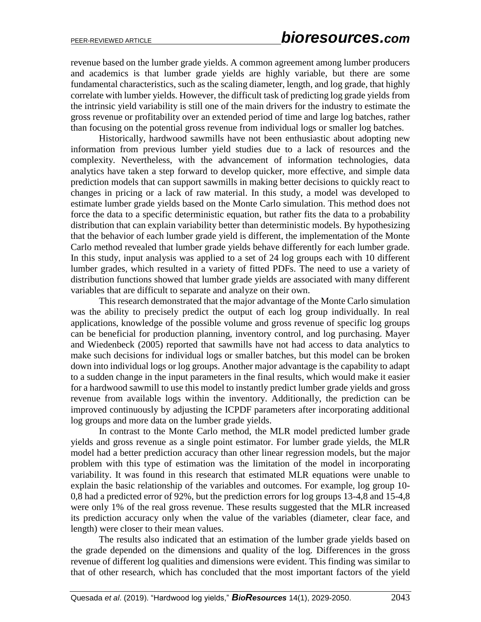revenue based on the lumber grade yields. A common agreement among lumber producers and academics is that lumber grade yields are highly variable, but there are some fundamental characteristics, such as the scaling diameter, length, and log grade, that highly correlate with lumber yields. However, the difficult task of predicting log grade yields from the intrinsic yield variability is still one of the main drivers for the industry to estimate the gross revenue or profitability over an extended period of time and large log batches, rather than focusing on the potential gross revenue from individual logs or smaller log batches.

Historically, hardwood sawmills have not been enthusiastic about adopting new information from previous lumber yield studies due to a lack of resources and the complexity. Nevertheless, with the advancement of information technologies, data analytics have taken a step forward to develop quicker, more effective, and simple data prediction models that can support sawmills in making better decisions to quickly react to changes in pricing or a lack of raw material. In this study, a model was developed to estimate lumber grade yields based on the Monte Carlo simulation. This method does not force the data to a specific deterministic equation, but rather fits the data to a probability distribution that can explain variability better than deterministic models. By hypothesizing that the behavior of each lumber grade yield is different, the implementation of the Monte Carlo method revealed that lumber grade yields behave differently for each lumber grade. In this study, input analysis was applied to a set of 24 log groups each with 10 different lumber grades, which resulted in a variety of fitted PDFs. The need to use a variety of distribution functions showed that lumber grade yields are associated with many different variables that are difficult to separate and analyze on their own.

This research demonstrated that the major advantage of the Monte Carlo simulation was the ability to precisely predict the output of each log group individually. In real applications, knowledge of the possible volume and gross revenue of specific log groups can be beneficial for production planning, inventory control, and log purchasing. Mayer and Wiedenbeck (2005) reported that sawmills have not had access to data analytics to make such decisions for individual logs or smaller batches, but this model can be broken down into individual logs or log groups. Another major advantage is the capability to adapt to a sudden change in the input parameters in the final results, which would make it easier for a hardwood sawmill to use this model to instantly predict lumber grade yields and gross revenue from available logs within the inventory. Additionally, the prediction can be improved continuously by adjusting the ICPDF parameters after incorporating additional log groups and more data on the lumber grade yields.

In contrast to the Monte Carlo method, the MLR model predicted lumber grade yields and gross revenue as a single point estimator. For lumber grade yields, the MLR model had a better prediction accuracy than other linear regression models, but the major problem with this type of estimation was the limitation of the model in incorporating variability. It was found in this research that estimated MLR equations were unable to explain the basic relationship of the variables and outcomes. For example, log group 10- 0,8 had a predicted error of 92%, but the prediction errors for log groups 13-4,8 and 15-4,8 were only 1% of the real gross revenue. These results suggested that the MLR increased its prediction accuracy only when the value of the variables (diameter, clear face, and length) were closer to their mean values.

The results also indicated that an estimation of the lumber grade yields based on the grade depended on the dimensions and quality of the log. Differences in the gross revenue of different log qualities and dimensions were evident. This finding was similar to that of other research, which has concluded that the most important factors of the yield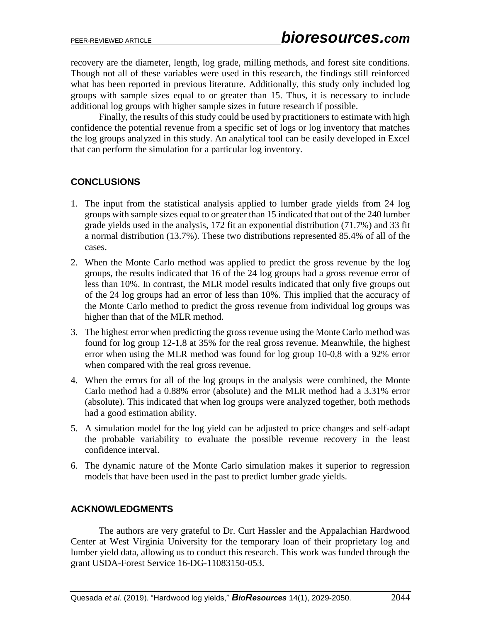recovery are the diameter, length, log grade, milling methods, and forest site conditions. Though not all of these variables were used in this research, the findings still reinforced what has been reported in previous literature. Additionally, this study only included log groups with sample sizes equal to or greater than 15. Thus, it is necessary to include additional log groups with higher sample sizes in future research if possible.

Finally, the results of this study could be used by practitioners to estimate with high confidence the potential revenue from a specific set of logs or log inventory that matches the log groups analyzed in this study. An analytical tool can be easily developed in Excel that can perform the simulation for a particular log inventory.

# **CONCLUSIONS**

- 1. The input from the statistical analysis applied to lumber grade yields from 24 log groups with sample sizes equal to or greater than 15 indicated that out of the 240 lumber grade yields used in the analysis, 172 fit an exponential distribution (71.7%) and 33 fit a normal distribution (13.7%). These two distributions represented 85.4% of all of the cases.
- 2. When the Monte Carlo method was applied to predict the gross revenue by the log groups, the results indicated that 16 of the 24 log groups had a gross revenue error of less than 10%. In contrast, the MLR model results indicated that only five groups out of the 24 log groups had an error of less than 10%. This implied that the accuracy of the Monte Carlo method to predict the gross revenue from individual log groups was higher than that of the MLR method.
- 3. The highest error when predicting the gross revenue using the Monte Carlo method was found for log group 12-1,8 at 35% for the real gross revenue. Meanwhile, the highest error when using the MLR method was found for log group 10-0,8 with a 92% error when compared with the real gross revenue.
- 4. When the errors for all of the log groups in the analysis were combined, the Monte Carlo method had a 0.88% error (absolute) and the MLR method had a 3.31% error (absolute). This indicated that when log groups were analyzed together, both methods had a good estimation ability.
- 5. A simulation model for the log yield can be adjusted to price changes and self-adapt the probable variability to evaluate the possible revenue recovery in the least confidence interval.
- 6. The dynamic nature of the Monte Carlo simulation makes it superior to regression models that have been used in the past to predict lumber grade yields.

# **ACKNOWLEDGMENTS**

The authors are very grateful to Dr. Curt Hassler and the Appalachian Hardwood Center at West Virginia University for the temporary loan of their proprietary log and lumber yield data, allowing us to conduct this research. This work was funded through the grant USDA-Forest Service 16-DG-11083150-053.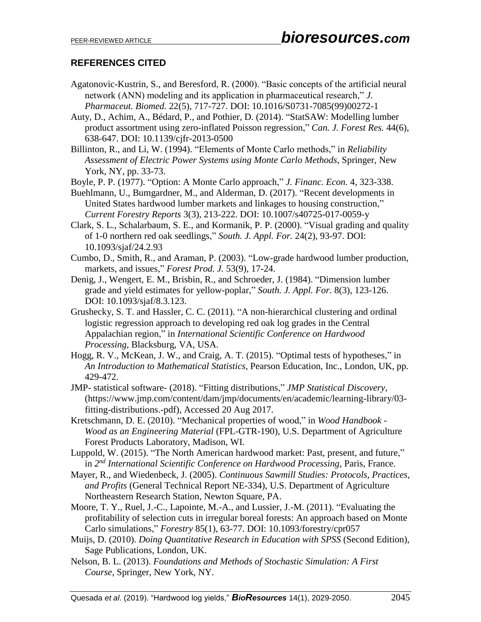# **REFERENCES CITED**

- Agatonovic-Kustrin, S., and Beresford, R. (2000). "Basic concepts of the artificial neural network (ANN) modeling and its application in pharmaceutical research," *J. Pharmaceut. Biomed.* 22(5), 717-727. DOI: 10.1016/S0731-7085(99)00272-1
- Auty, D., Achim, A., Bédard, P., and Pothier, D. (2014). "StatSAW: Modelling lumber product assortment using zero-inflated Poisson regression," *Can. J. Forest Res.* 44(6), 638-647. DOI: 10.1139/cjfr-2013-0500
- Billinton, R., and Li, W. (1994). "Elements of Monte Carlo methods," in *Reliability Assessment of Electric Power Systems using Monte Carlo Methods*, Springer, New York, NY, pp. 33-73.
- Boyle, P. P. (1977). "Option: A Monte Carlo approach," *J. Financ. Econ.* 4, 323-338.
- Buehlmann, U., Bumgardner, M., and Alderman, D. (2017). "Recent developments in United States hardwood lumber markets and linkages to housing construction," *Current Forestry Reports* 3(3), 213-222. DOI: 10.1007/s40725-017-0059-y
- Clark, S. L., Schalarbaum, S. E., and Kormanik, P. P. (2000). "Visual grading and quality of 1-0 northern red oak seedlings," *South. J. Appl. For.* 24(2), 93-97. DOI: 10.1093/sjaf/24.2.93
- Cumbo, D., Smith, R., and Araman, P. (2003). "Low-grade hardwood lumber production, markets, and issues," *Forest Prod. J.* 53(9), 17-24.
- Denig, J., Wengert, E. M., Brisbin, R., and Schroeder, J. (1984). "Dimension lumber grade and yield estimates for yellow-poplar," *South. J. Appl. For.* 8(3), 123-126. DOI: 10.1093/sjaf/8.3.123.
- Grushecky, S. T. and Hassler, C. C. (2011). "A non-hierarchical clustering and ordinal logistic regression approach to developing red oak log grades in the Central Appalachian region," in *International Scientific Conference on Hardwood Processing*, Blacksburg, VA, USA.
- Hogg, R. V., McKean, J. W., and Craig, A. T. (2015). "Optimal tests of hypotheses," in *An Introduction to Mathematical Statistics*, Pearson Education, Inc., London, UK, pp. 429-472.
- JMP- statistical software- (2018). "Fitting distributions," *JMP Statistical Discovery*, (https://www.jmp.com/content/dam/jmp/documents/en/academic/learning-library/03 fitting-distributions.-pdf), Accessed 20 Aug 2017.
- Kretschmann, D. E. (2010). "Mechanical properties of wood," in *Wood Handbook - Wood as an Engineering Material* (FPL-GTR-190), U.S. Department of Agriculture Forest Products Laboratory, Madison, WI.
- Luppold, W. (2015). "The North American hardwood market: Past, present, and future," in *2 nd International Scientific Conference on Hardwood Processing*, Paris, France.
- Mayer, R., and Wiedenbeck, J. (2005). *Continuous Sawmill Studies: Protocols, Practices, and Profits* (General Technical Report NE-334), U.S. Department of Agriculture Northeastern Research Station, Newton Square, PA.
- Moore, T. Y., Ruel, J.-C., Lapointe, M.-A., and Lussier, J.-M. (2011). "Evaluating the profitability of selection cuts in irregular boreal forests: An approach based on Monte Carlo simulations," *Forestry* 85(1), 63-77. DOI: 10.1093/forestry/cpr057
- Muijs, D. (2010). *Doing Quantitative Research in Education with SPSS* (Second Edition), Sage Publications, London, UK.
- Nelson, B. L. (2013). *Foundations and Methods of Stochastic Simulation: A First Course*, Springer, New York, NY.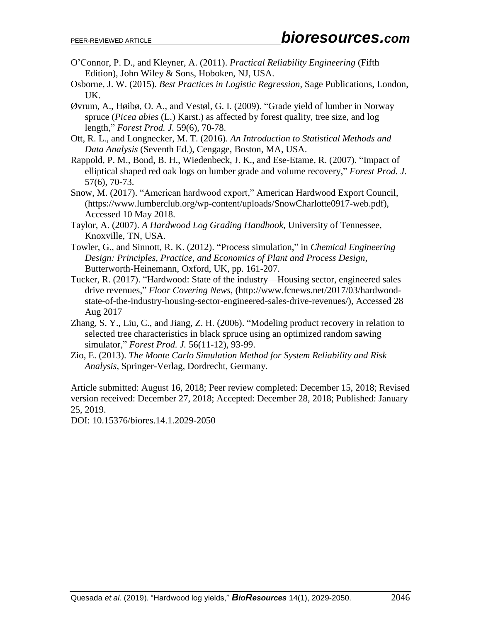- O'Connor, P. D., and Kleyner, A. (2011). *Practical Reliability Engineering* (Fifth Edition), John Wiley & Sons, Hoboken, NJ, USA.
- Osborne, J. W. (2015). *Best Practices in Logistic Regression*, Sage Publications, London, UK.
- Øvrum, A., Høibø, O. A., and Vestøl, G. I. (2009). "Grade yield of lumber in Norway spruce (*Picea abies* (L.) Karst.) as affected by forest quality, tree size, and log length," *Forest Prod. J.* 59(6), 70-78.
- Ott, R. L., and Longnecker, M. T. (2016). *An Introduction to Statistical Methods and Data Analysis* (Seventh Ed.), Cengage, Boston, MA, USA.
- Rappold, P. M., Bond, B. H., Wiedenbeck, J. K., and Ese-Etame, R. (2007). "Impact of elliptical shaped red oak logs on lumber grade and volume recovery," *Forest Prod. J.* 57(6), 70-73.
- Snow, M. (2017). "American hardwood export," American Hardwood Export Council, (https://www.lumberclub.org/wp-content/uploads/SnowCharlotte0917-web.pdf), Accessed 10 May 2018.
- Taylor, A. (2007). *A Hardwood Log Grading Handbook*, University of Tennessee, Knoxville, TN, USA.
- Towler, G., and Sinnott, R. K. (2012). "Process simulation," in *Chemical Engineering Design: Principles, Practice, and Economics of Plant and Process Design*, Butterworth-Heinemann, Oxford, UK, pp. 161-207.
- Tucker, R. (2017). "Hardwood: State of the industry—Housing sector, engineered sales drive revenues," *Floor Covering News*, (http://www.fcnews.net/2017/03/hardwoodstate-of-the-industry-housing-sector-engineered-sales-drive-revenues/), Accessed 28 Aug 2017
- Zhang, S. Y., Liu, C., and Jiang, Z. H. (2006). "Modeling product recovery in relation to selected tree characteristics in black spruce using an optimized random sawing simulator," *Forest Prod. J.* 56(11-12), 93-99.
- Zio, E. (2013). *The Monte Carlo Simulation Method for System Reliability and Risk Analysis*, Springer-Verlag, Dordrecht, Germany.

Article submitted: August 16, 2018; Peer review completed: December 15, 2018; Revised version received: December 27, 2018; Accepted: December 28, 2018; Published: January 25, 2019.

DOI: 10.15376/biores.14.1.2029-2050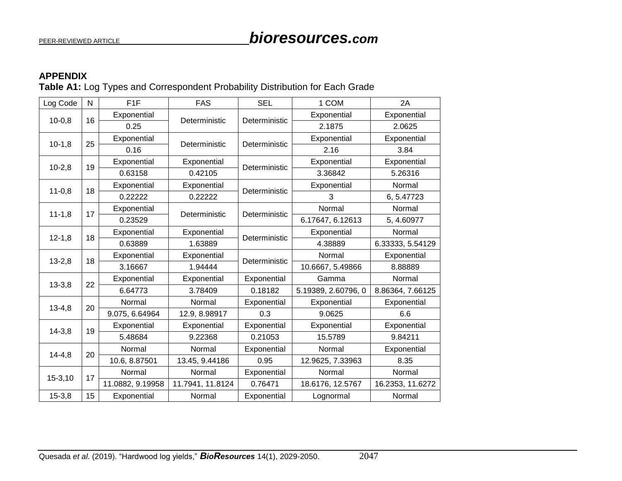# **APPENDIX**

**Table A1:** Log Types and Correspondent Probability Distribution for Each Grade

| Log Code     | N                | F <sub>1</sub> F | <b>FAS</b>       | <b>SEL</b>    | 1 COM               | 2A               |
|--------------|------------------|------------------|------------------|---------------|---------------------|------------------|
| $10-0,8$     | 16               | Exponential      | Deterministic    | Deterministic | Exponential         | Exponential      |
|              |                  | 0.25             |                  |               | 2.1875              | 2.0625           |
|              | 25               | Exponential      |                  |               | Exponential         | Exponential      |
| $10-1,8$     |                  | 0.16             | Deterministic    | Deterministic | 2.16                | 3.84             |
|              | 19               | Exponential      | Exponential      | Deterministic | Exponential         | Exponential      |
| $10 - 2,8$   |                  | 0.63158          | 0.42105          |               | 3.36842             | 5.26316          |
|              | 18               | Exponential      | Exponential      | Deterministic | Exponential         | Normal           |
| $11-0,8$     |                  | 0.22222          | 0.22222          |               | 3                   | 6, 5.47723       |
| $11 - 1,8$   | 17               | Exponential      | Deterministic    | Deterministic | Normal              | Normal           |
|              |                  | 0.23529          |                  |               | 6.17647, 6.12613    | 5, 4.60977       |
|              | $12 - 1,8$<br>18 | Exponential      | Exponential      | Deterministic | Exponential         | Normal           |
|              |                  | 0.63889          | 1.63889          |               | 4.38889             | 6.33333, 5.54129 |
| $13 - 2,8$   | 18               | Exponential      | Exponential      | Deterministic | Normal              | Exponential      |
|              |                  | 3.16667          | 1.94444          |               | 10.6667, 5.49866    | 8.88889          |
| $13 - 3,8$   | 22               | Exponential      | Exponential      | Exponential   | Gamma               | Normal           |
|              |                  | 6.64773          | 3.78409          | 0.18182       | 5.19389, 2.60796, 0 | 8.86364, 7.66125 |
| $13 - 4,8$   | 20               | Normal           | Normal           | Exponential   | Exponential         | Exponential      |
|              |                  | 9.075, 6.64964   | 12.9, 8.98917    | 0.3           | 9.0625              | 6.6              |
| $14 - 3,8$   | 19               | Exponential      | Exponential      | Exponential   | Exponential         | Exponential      |
|              |                  | 5.48684          | 9.22368          | 0.21053       | 15.5789             | 9.84211          |
| $14 - 4, 8$  | 20               | Normal           | Normal           | Exponential   | Normal              | Exponential      |
|              |                  | 10.6, 8.87501    | 13.45, 9.44186   | 0.95          | 12.9625, 7.33963    | 8.35             |
|              | 17               | Normal           | Normal           | Exponential   | Normal              | Normal           |
| $15 - 3, 10$ |                  | 11.0882, 9.19958 | 11.7941, 11.8124 | 0.76471       | 18.6176, 12.5767    | 16.2353, 11.6272 |
| $15 - 3,8$   | 15               | Exponential      | Normal           | Exponential   | Lognormal           | Normal           |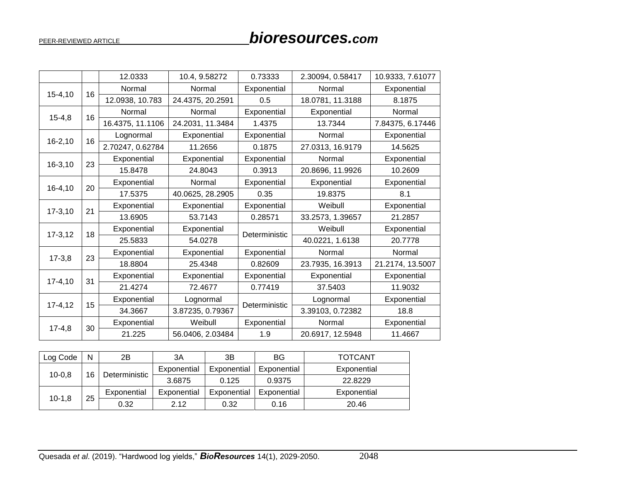|              |    | 12.0333          | 10.4, 9.58272    | 0.73333               | 2.30094, 0.58417 | 10.9333, 7.61077 |
|--------------|----|------------------|------------------|-----------------------|------------------|------------------|
| $15 - 4, 10$ | 16 | Normal           | Normal           | Exponential           | Normal           | Exponential      |
|              |    | 12.0938, 10.783  | 24.4375, 20.2591 | 0.5                   | 18.0781, 11.3188 | 8.1875           |
|              | 16 | Normal           | Normal           | Exponential           | Exponential      | Normal           |
| $15 - 4,8$   |    | 16.4375, 11.1106 | 24.2031, 11.3484 | 1.4375                | 13.7344          | 7.84375, 6.17446 |
| $16 - 2, 10$ | 16 | Lognormal        | Exponential      | Exponential           | Normal           | Exponential      |
|              |    | 2.70247, 0.62784 | 11.2656          | 0.1875                | 27.0313, 16.9179 | 14.5625          |
| $16 - 3, 10$ | 23 | Exponential      | Exponential      | Exponential<br>Normal |                  | Exponential      |
|              |    | 15.8478          | 24.8043          | 0.3913                | 20.8696, 11.9926 | 10.2609          |
| $16 - 4, 10$ | 20 | Exponential      | Normal           | Exponential           | Exponential      | Exponential      |
|              |    | 17.5375          | 40.0625, 28.2905 | 0.35                  | 19.8375          | 8.1              |
| $17 - 3,10$  | 21 | Exponential      | Exponential      | Exponential           | Weibull          | Exponential      |
|              |    | 13.6905          | 53.7143          | 0.28571               | 33.2573, 1.39657 | 21.2857          |
| $17 - 3,12$  | 18 | Exponential      | Exponential      | Deterministic         | Weibull          | Exponential      |
|              |    | 25.5833          | 54.0278          |                       | 40.0221, 1.6138  | 20.7778          |
| $17-3,8$     | 23 | Exponential      | Exponential      | Exponential           | Normal           | Normal           |
|              |    | 18.8804          | 25.4348          | 0.82609               | 23.7935, 16.3913 | 21.2174, 13.5007 |
|              | 31 | Exponential      | Exponential      | Exponential           | Exponential      | Exponential      |
| $17-4,10$    |    | 21.4274          | 72.4677          | 0.77419               | 37.5403          | 11.9032          |
|              | 15 | Exponential      | Lognormal        | Deterministic         | Lognormal        | Exponential      |
| $17 - 4, 12$ |    | 34.3667          | 3.87235, 0.79367 |                       | 3.39103, 0.72382 | 18.8             |
|              | 30 | Exponential      | Weibull          | Exponential           | Normal           | Exponential      |
| $17-4,8$     |    | 21.225           | 56.0406, 2.03484 | 1.9                   | 20.6917, 12.5948 | 11.4667          |

| Log Code | N  | 2Β            | ЗA          | ЗB          | BG          | <b>TOTCANT</b> |
|----------|----|---------------|-------------|-------------|-------------|----------------|
| $10-0,8$ | 16 | Deterministic | Exponential | Exponential | Exponential | Exponential    |
|          |    |               | 3.6875      | 0.125       | 0.9375      | 22.8229        |
| $10-1,8$ | 25 | Exponential   | Exponential | Exponential | Exponential | Exponential    |
|          |    | 0.32          | 2.12        | 0.32        | 0.16        | 20.46          |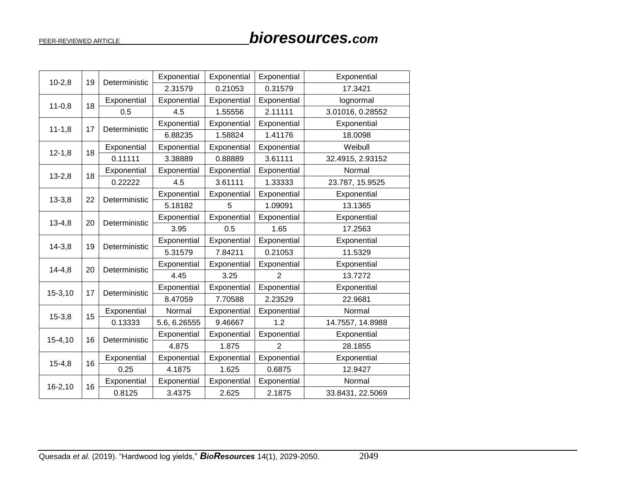| $10 - 2,8$   | 19 | Deterministic | Exponential  | Exponential | Exponential    | Exponential      |
|--------------|----|---------------|--------------|-------------|----------------|------------------|
|              |    |               | 2.31579      | 0.21053     | 0.31579        | 17.3421          |
| $11-0,8$     | 18 | Exponential   | Exponential  | Exponential | Exponential    | lognormal        |
|              |    | 0.5           | 4.5          | 1.55556     | 2.11111        | 3.01016, 0.28552 |
| $11 - 1,8$   | 17 | Deterministic | Exponential  | Exponential | Exponential    | Exponential      |
|              |    |               | 6.88235      | 1.58824     | 1.41176        | 18.0098          |
| $12 - 1,8$   | 18 | Exponential   | Exponential  | Exponential | Exponential    | Weibull          |
|              |    | 0.11111       | 3.38889      | 0.88889     | 3.61111        | 32.4915, 2.93152 |
| $13 - 2,8$   | 18 | Exponential   | Exponential  | Exponential | Exponential    | Normal           |
|              |    | 0.22222       | 4.5          | 3.61111     | 1.33333        | 23.787, 15.9525  |
|              | 22 | Deterministic | Exponential  | Exponential | Exponential    | Exponential      |
| $13 - 3,8$   |    |               | 5.18182      | 5           | 1.09091        | 13.1365          |
| $13 - 4,8$   | 20 | Deterministic | Exponential  | Exponential | Exponential    | Exponential      |
|              |    |               | 3.95         | 0.5         | 1.65           | 17.2563          |
| $14 - 3,8$   | 19 | Deterministic | Exponential  | Exponential | Exponential    | Exponential      |
|              |    |               | 5.31579      | 7.84211     | 0.21053        | 11.5329          |
|              | 20 | Deterministic | Exponential  | Exponential | Exponential    | Exponential      |
| $14 - 4, 8$  |    |               | 4.45         | 3.25        | $\overline{2}$ | 13.7272          |
|              | 17 | Deterministic | Exponential  | Exponential | Exponential    | Exponential      |
| $15 - 3, 10$ |    |               | 8.47059      | 7.70588     | 2.23529        | 22.9681          |
|              | 15 | Exponential   | Normal       | Exponential | Exponential    | Normal           |
| $15 - 3,8$   |    | 0.13333       | 5.6, 6.26555 | 9.46667     | 1.2            | 14.7557, 14.8988 |
| $15 - 4, 10$ | 16 | Deterministic | Exponential  | Exponential | Exponential    | Exponential      |
|              |    |               | 4.875        | 1.875       | $\overline{2}$ | 28.1855          |
| $15 - 4,8$   | 16 | Exponential   | Exponential  | Exponential | Exponential    | Exponential      |
|              |    | 0.25          | 4.1875       | 1.625       | 0.6875         | 12.9427          |
| $16 - 2, 10$ | 16 | Exponential   | Exponential  | Exponential | Exponential    | Normal           |
|              |    | 0.8125        | 3.4375       | 2.625       | 2.1875         | 33.8431, 22.5069 |